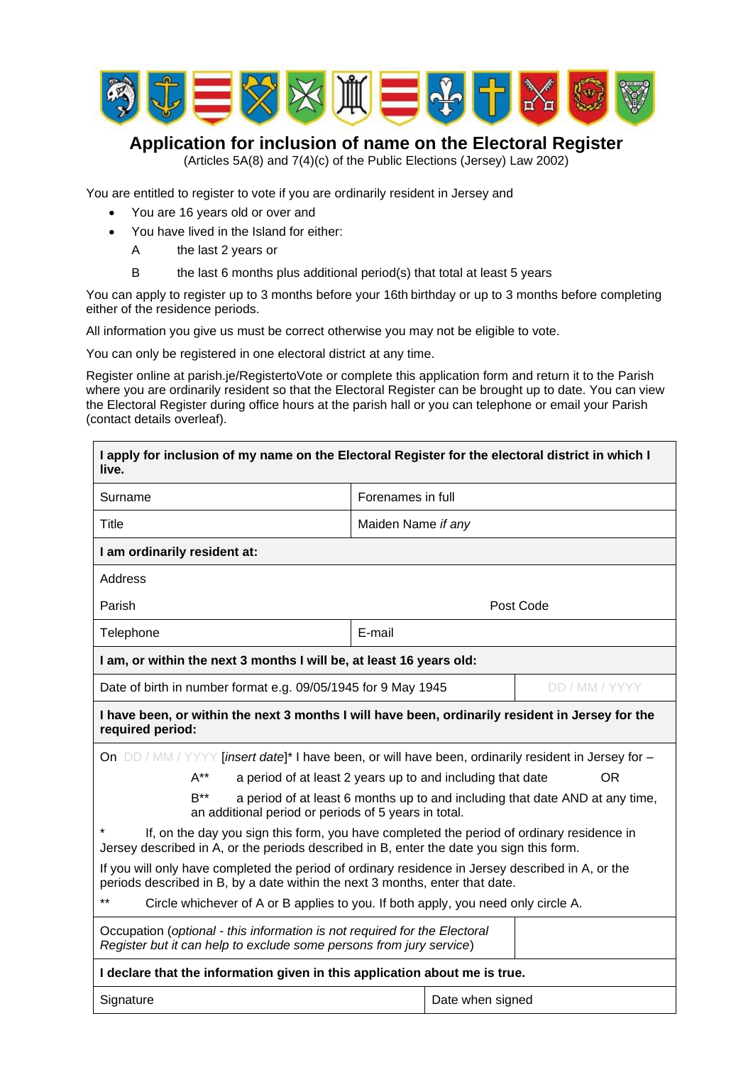

## **Application for inclusion of name on the Electoral Register**

(Articles 5A(8) and 7(4)(c) of the Public Elections (Jersey) Law 2002)

You are entitled to register to vote if you are ordinarily resident in Jersey and

- You are 16 years old or over and
- You have lived in the Island for either:
	- A the last 2 years or
	- B the last 6 months plus additional period(s) that total at least 5 years

You can apply to register up to 3 months before your 16th birthday or up to 3 months before completing either of the residence periods.

All information you give us must be correct otherwise you may not be eligible to vote.

You can only be registered in one electoral district at any time.

Register online at parish.je/RegistertoVote or complete this application form and return it to the Parish where you are ordinarily resident so that the Electoral Register can be brought up to date. You can view the Electoral Register during office hours at the parish hall or you can telephone or email your Parish (contact details overleaf).

| I apply for inclusion of my name on the Electoral Register for the electoral district in which I<br>live.                                                                             |                                                                              |                |  |  |  |  |  |
|---------------------------------------------------------------------------------------------------------------------------------------------------------------------------------------|------------------------------------------------------------------------------|----------------|--|--|--|--|--|
| Surname                                                                                                                                                                               | Forenames in full                                                            |                |  |  |  |  |  |
| Title                                                                                                                                                                                 | Maiden Name if any                                                           |                |  |  |  |  |  |
| I am ordinarily resident at:                                                                                                                                                          |                                                                              |                |  |  |  |  |  |
| <b>Address</b>                                                                                                                                                                        |                                                                              |                |  |  |  |  |  |
| Parish                                                                                                                                                                                | Post Code                                                                    |                |  |  |  |  |  |
| Telephone                                                                                                                                                                             | E-mail                                                                       |                |  |  |  |  |  |
| I am, or within the next 3 months I will be, at least 16 years old:                                                                                                                   |                                                                              |                |  |  |  |  |  |
| Date of birth in number format e.g. 09/05/1945 for 9 May 1945                                                                                                                         |                                                                              | DD / MM / YYYY |  |  |  |  |  |
| I have been, or within the next 3 months I will have been, ordinarily resident in Jersey for the<br>required period:                                                                  |                                                                              |                |  |  |  |  |  |
| On DD / MM / YYYY [insert date]* I have been, or will have been, ordinarily resident in Jersey for -                                                                                  |                                                                              |                |  |  |  |  |  |
| $A^{**}$                                                                                                                                                                              | a period of at least 2 years up to and including that date                   | OR             |  |  |  |  |  |
| $R^{**}$<br>an additional period or periods of 5 years in total.                                                                                                                      | a period of at least 6 months up to and including that date AND at any time, |                |  |  |  |  |  |
| If, on the day you sign this form, you have completed the period of ordinary residence in<br>Jersey described in A, or the periods described in B, enter the date you sign this form. |                                                                              |                |  |  |  |  |  |
| If you will only have completed the period of ordinary residence in Jersey described in A, or the<br>periods described in B, by a date within the next 3 months, enter that date.     |                                                                              |                |  |  |  |  |  |
| **<br>Circle whichever of A or B applies to you. If both apply, you need only circle A.                                                                                               |                                                                              |                |  |  |  |  |  |
| Occupation (optional - this information is not required for the Electoral<br>Register but it can help to exclude some persons from jury service)                                      |                                                                              |                |  |  |  |  |  |
| I declare that the information given in this application about me is true.                                                                                                            |                                                                              |                |  |  |  |  |  |
| Signature<br>Date when signed                                                                                                                                                         |                                                                              |                |  |  |  |  |  |